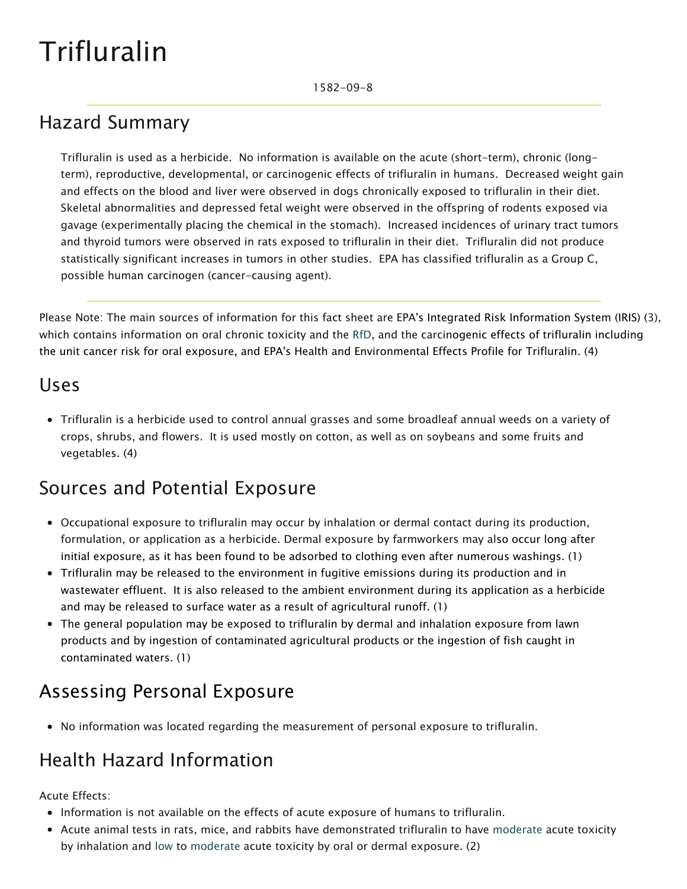# Trifluralin

## Hazard Summary

Trifluralin is used as a herbicide. No information is available on the acute (short-term), chronic (longterm), reproductive, developmental, or carcinogenic effects of trifluralin in humans. Decreased weight gain and effects on the blood and liver were observed in dogs chronically exposed to trifluralin in their diet. Skeletal abnormalities and depressed fetal weight were observed in the offspring of rodents exposed via gavage (experimentally placing the chemical in the stomach). Increased incidences of urinary tract tumors and thyroid tumors were observed in rats exposed to trifluralin in their diet. Trifluralin did not produce statistically significant increases in tumors in other studies. EPA has classified trifluralin as a Group C, possible human carcinogen (cancer-causing agent).

Please Note: The main sources of information for this fact sheet are EPA's Integrated Risk Information System (IRIS) (3), which contains information on oral chronic toxicity and the [RfD](https://www.epa.gov/haps/health-effects-notebook-glossary), and the carcinogenic effects of trifluralin including the unit cancer risk for oral exposure, and EPA's Health and Environmental Effects Profile for Trifluralin. (4)

### Uses

Trifluralin is a herbicide used to control annual grasses and some broadleaf annual weeds on a variety of crops, shrubs, and flowers. It is used mostly on cotton, as well as on soybeans and some fruits and vegetables. (4)

## Sources and Potential Exposure

- Occupational exposure to trifluralin may occur by inhalation or dermal contact during its production, formulation, or application as a herbicide. Dermal exposure by farmworkers may also occur long after initial exposure, as it has been found to be adsorbed to clothing even after numerous washings. (1)
- Trifluralin may be released to the environment in fugitive emissions during its production and in wastewater effluent. It is also released to the ambient environment during its application as a herbicide and may be released to surface water as a result of agricultural runoff. (1)
- The general population may be exposed to trifluralin by dermal and inhalation exposure from lawn products and by ingestion of contaminated agricultural products or the ingestion of fish caught in contaminated waters. (1)

## Assessing Personal Exposure

• No information was located regarding the measurement of personal exposure to trifluralin.

# Health Hazard Information

Acute Effects:

- Information is not available on the effects of acute exposure of humans to trifluralin.
- Acute animal tests in rats, mice, and rabbits have demonstrated trifluralin to have [moderate](https://www.epa.gov/haps/about-health-effects-fact-sheets) acute toxicity by inhalation and [low](https://www.epa.gov/haps/about-health-effects-fact-sheets) to [moderate](https://www.epa.gov/haps/about-health-effects-fact-sheets) acute toxicity by oral or dermal exposure. (2)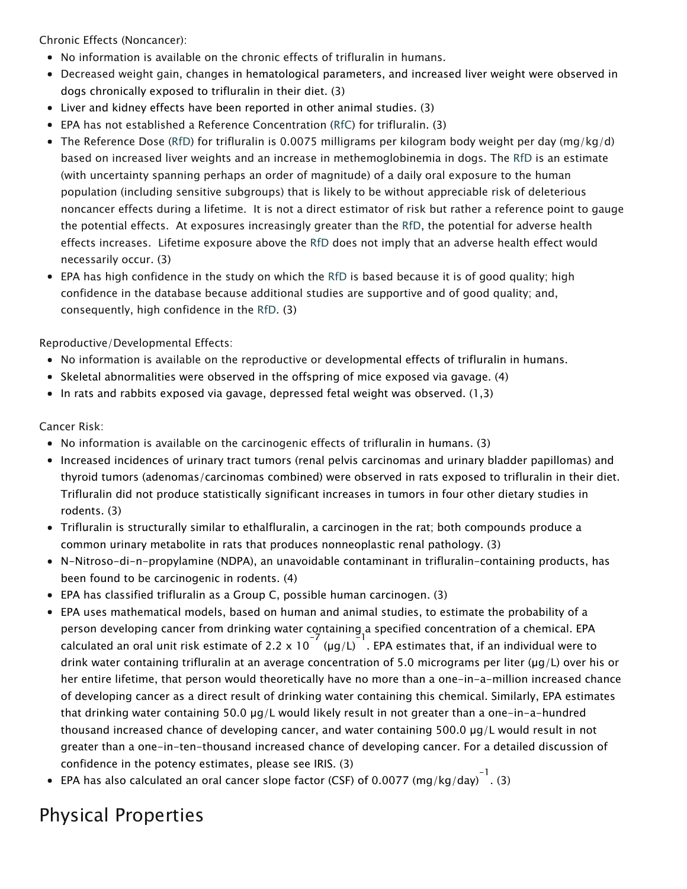Chronic Effects (Noncancer):

- No information is available on the chronic effects of trifluralin in humans.
- Decreased weight gain, changes in hematological parameters, and increased liver weight were observed in dogs chronically exposed to trifluralin in their diet. (3)
- Liver and kidney effects have been reported in other animal studies. (3)
- EPA has not established a Reference Concentration ([RfC\)](https://www.epa.gov/haps/health-effects-notebook-glossary) for trifluralin. (3)
- The Reference Dose [\(RfD\)](https://www.epa.gov/haps/health-effects-notebook-glossary) for trifluralin is 0.0075 milligrams per kilogram body weight per day (mg/kg/d) based on increased liver weights and an increase in methemoglobinemia in dogs. The [RfD](https://www.epa.gov/haps/health-effects-notebook-glossary) is an estimate (with uncertainty spanning perhaps an order of magnitude) of a daily oral exposure to the human population (including sensitive subgroups) that is likely to be without appreciable risk of deleterious noncancer effects during a lifetime. It is not a direct estimator of risk but rather a reference point to gauge the potential effects. At exposures increasingly greater than the [RfD](https://www.epa.gov/haps/health-effects-notebook-glossary), the potential for adverse health effects increases. Lifetime exposure above the [RfD](https://www.epa.gov/haps/health-effects-notebook-glossary) does not imply that an adverse health effect would necessarily occur. (3)
- EPA has high confidence in the study on which the [RfD](https://www.epa.gov/haps/health-effects-notebook-glossary) is based because it is of good quality; high confidence in the database because additional studies are supportive and of good quality; and, consequently, high confidence in the [RfD](https://www.epa.gov/haps/health-effects-notebook-glossary). (3)

Reproductive/Developmental Effects:

- No information is available on the reproductive or developmental effects of trifluralin in humans.
- Skeletal abnormalities were observed in the offspring of mice exposed via gavage. (4)
- In rats and rabbits exposed via gavage, depressed fetal weight was observed.  $(1,3)$

#### Cancer Risk:

- No information is available on the carcinogenic effects of trifluralin in humans. (3)
- Increased incidences of urinary tract tumors (renal pelvis carcinomas and urinary bladder papillomas) and thyroid tumors (adenomas/carcinomas combined) were observed in rats exposed to trifluralin in their diet. Trifluralin did not produce statistically significant increases in tumors in four other dietary studies in rodents. (3)
- Trifluralin is structurally similar to ethalfluralin, a carcinogen in the rat; both compounds produce a common urinary metabolite in rats that produces nonneoplastic renal pathology. (3)
- N-Nitroso-di-n-propylamine (NDPA), an unavoidable contaminant in trifluralin-containing products, has been found to be carcinogenic in rodents. (4)
- EPA has classified trifluralin as a Group C, possible human carcinogen. (3)
- EPA uses mathematical models, based on human and animal studies, to estimate the probability of a person developing cancer from drinking water containing a specified concentration of a chemical. EPA calculated an oral unit risk estimate of 2.2 x 10<sup>-7</sup> (µg/L)  $\frac{1}{2}$ . EPA estimates that, if an individual were to drink water containing trifluralin at an average concentration of 5.0 micrograms per liter (µg/L) over his or her entire lifetime, that person would theoretically have no more than a one-in-a-million increased chance of developing cancer as a direct result of drinking water containing this chemical. Similarly, EPA estimates that drinking water containing 50.0 µg/L would likely result in not greater than a one-in-a-hundred thousand increased chance of developing cancer, and water containing 500.0 µg/L would result in not greater than a one-in-ten-thousand increased chance of developing cancer. For a detailed discussion of confidence in the potency estimates, please see IRIS. (3)
- EPA has also calculated an oral cancer slope factor (CSF) of 0.0077 (mg/kg/day) $^{-1}$ . (3)

# Physical Properties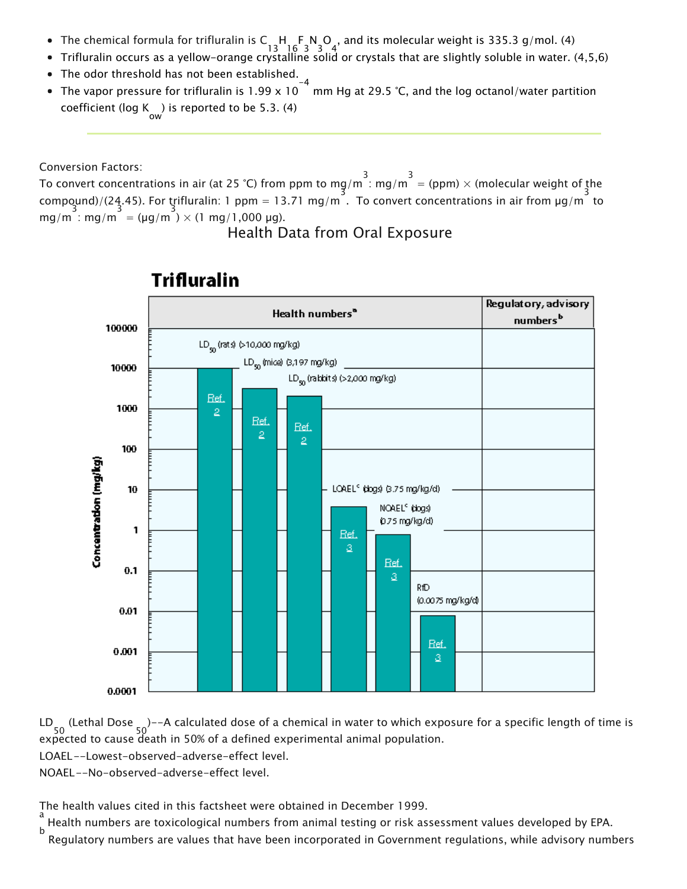- The chemical formula for trifluralin is C  $\substack{+ \\ 13 \quad 16 \quad 3 \quad 3 \quad 4}$ , and its molecular weight is 335.3 g/mol. (4)
- Trifluralin occurs as a yellow-orange crystalline solid or crystals that are slightly soluble in water. (4,5,6)
- The odor threshold has not been established.
- The vapor pressure for trifluralin is 1.99 x 10  $^{-4}$  mm Hg at 29.5 °C, and the log octanol/water partition coefficient (log K ) is reported to be 5.3. (4)<br><sub>ow</sub>

Conversion Factors:

To convert concentrations in air (at 25 °C) from ppm to mg/m  $\frac{3}{1}$ : mg/m  $\frac{3}{1}$  = (ppm)  $\times$  (molecular weight of the compound)/(24.45). For triflural in: 1 ppm = 13.71 mg/m<sup>3</sup>. To convert concentrations in air from  $\mu$ g/m<sup>3</sup> to  $mg/m : mg/m = (\mu g/m) \times (1 mg/1,000 \mu g).$ 

### Health Data from Oral Exposure



### **Trifluralin**

LD 50 (Lethal Dose 50 )--A calculated dose of a chemical in water to which exposure for a specific length of time is expected to cause death in 50% of a defined experimental animal population.

LOAEL--Lowest-observed-adverse-effect level.

NOAEL--No-observed-adverse-effect level.

The health values cited in this factsheet were obtained in December 1999.

a<br><sub>.</sub> Health numbers are toxicological numbers from animal testing or risk assessment values developed by EPA. b

Regulatory numbers are values that have been incorporated in Government regulations, while advisory numbers